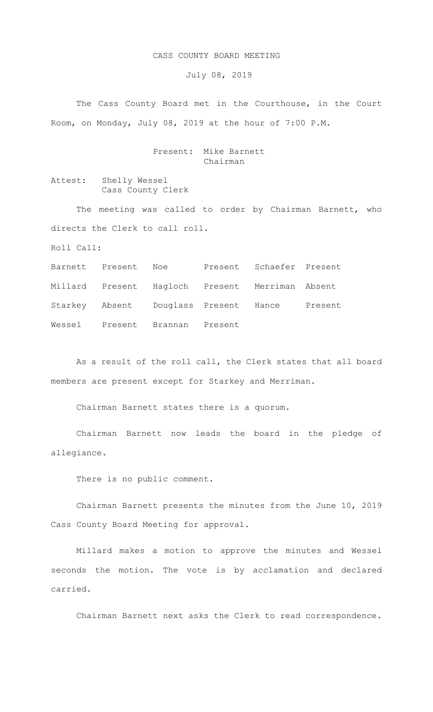## CASS COUNTY BOARD MEETING

July 08, 2019

The Cass County Board met in the Courthouse, in the Court Room, on Monday, July 08, 2019 at the hour of 7:00 P.M.

## Present: Mike Barnett Chairman

Attest: Shelly Wessel Cass County Clerk

The meeting was called to order by Chairman Barnett, who directs the Clerk to call roll.

Roll Call:

Barnett Present Noe Present Schaefer Present Millard Present Hagloch Present Merriman Absent Starkey Absent Douglass Present Hance Present Wessel Present Brannan Present

As a result of the roll call, the Clerk states that all board members are present except for Starkey and Merriman.

Chairman Barnett states there is a quorum.

Chairman Barnett now leads the board in the pledge of allegiance.

There is no public comment.

Chairman Barnett presents the minutes from the June 10, 2019 Cass County Board Meeting for approval.

Millard makes a motion to approve the minutes and Wessel seconds the motion. The vote is by acclamation and declared carried.

Chairman Barnett next asks the Clerk to read correspondence.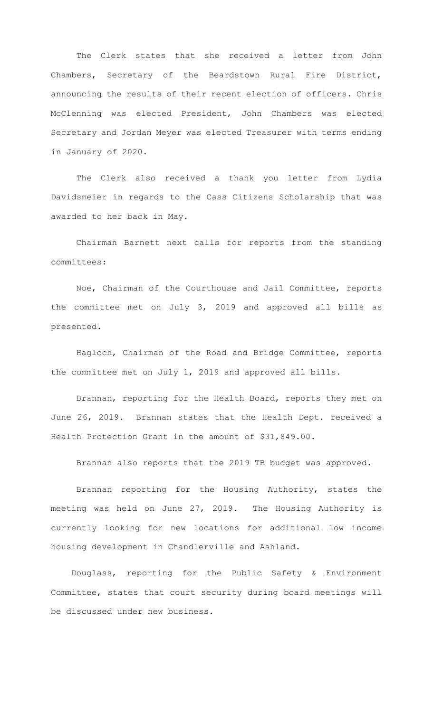The Clerk states that she received a letter from John Chambers, Secretary of the Beardstown Rural Fire District, announcing the results of their recent election of officers. Chris McClenning was elected President, John Chambers was elected Secretary and Jordan Meyer was elected Treasurer with terms ending in January of 2020.

The Clerk also received a thank you letter from Lydia Davidsmeier in regards to the Cass Citizens Scholarship that was awarded to her back in May.

 Chairman Barnett next calls for reports from the standing committees:

Noe, Chairman of the Courthouse and Jail Committee, reports the committee met on July 3, 2019 and approved all bills as presented.

Hagloch, Chairman of the Road and Bridge Committee, reports the committee met on July 1, 2019 and approved all bills.

Brannan, reporting for the Health Board, reports they met on June 26, 2019. Brannan states that the Health Dept. received a Health Protection Grant in the amount of \$31,849.00.

Brannan also reports that the 2019 TB budget was approved.

Brannan reporting for the Housing Authority, states the meeting was held on June 27, 2019. The Housing Authority is currently looking for new locations for additional low income housing development in Chandlerville and Ashland.

 Douglass, reporting for the Public Safety & Environment Committee, states that court security during board meetings will be discussed under new business.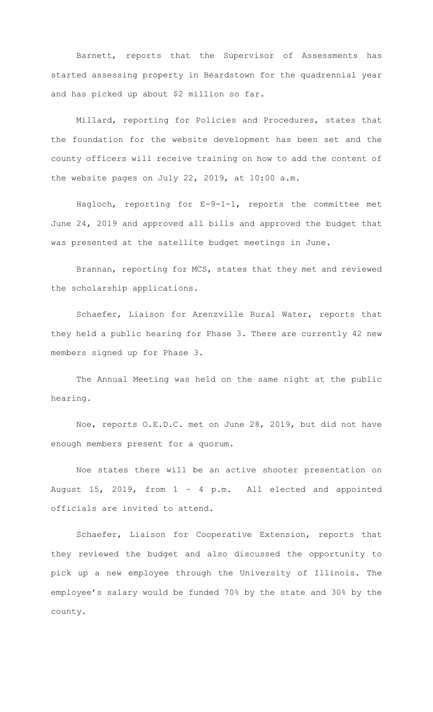Barnett, reports that the Supervisor of Assessments has started assessing property in Beardstown for the quadrennial year and has picked up about \$2 million so far.

Millard, reporting for Policies and Procedures, states that the foundation for the website development has been set and the county officers will receive training on how to add the content of the website pages on July 22, 2019, at 10:00 a.m.

Hagloch, reporting for E-9-1-1, reports the committee met June 24, 2019 and approved all bills and approved the budget that was presented at the satellite budget meetings in June.

Brannan, reporting for MCS, states that they met and reviewed the scholarship applications.

Schaefer, Liaison for Arenzville Rural Water, reports that they held a public hearing for Phase 3. There are currently 42 new members signed up for Phase 3.

The Annual Meeting was held on the same night at the public hearing.

Noe, reports O.E.D.C. met on June 28, 2019, but did not have enough members present for a quorum.

Noe states there will be an active shooter presentation on August 15, 2019, from 1 – 4 p.m. All elected and appointed officials are invited to attend.

Schaefer, Liaison for Cooperative Extension, reports that they reviewed the budget and also discussed the opportunity to pick up a new employee through the University of Illinois. The employee's salary would be funded 70% by the state and 30% by the county.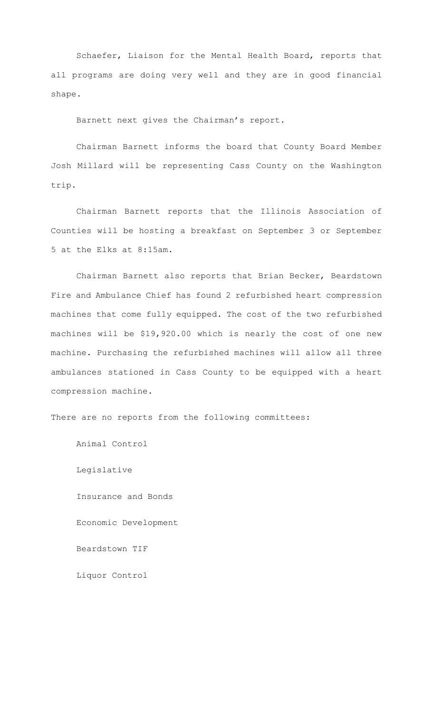Schaefer, Liaison for the Mental Health Board, reports that all programs are doing very well and they are in good financial shape.

Barnett next gives the Chairman's report.

Chairman Barnett informs the board that County Board Member Josh Millard will be representing Cass County on the Washington trip.

Chairman Barnett reports that the Illinois Association of Counties will be hosting a breakfast on September 3 or September 5 at the Elks at 8:15am.

Chairman Barnett also reports that Brian Becker, Beardstown Fire and Ambulance Chief has found 2 refurbished heart compression machines that come fully equipped. The cost of the two refurbished machines will be \$19,920.00 which is nearly the cost of one new machine. Purchasing the refurbished machines will allow all three ambulances stationed in Cass County to be equipped with a heart compression machine.

There are no reports from the following committees:

Animal Control

Legislative Insurance and Bonds Economic Development Beardstown TIF Liquor Control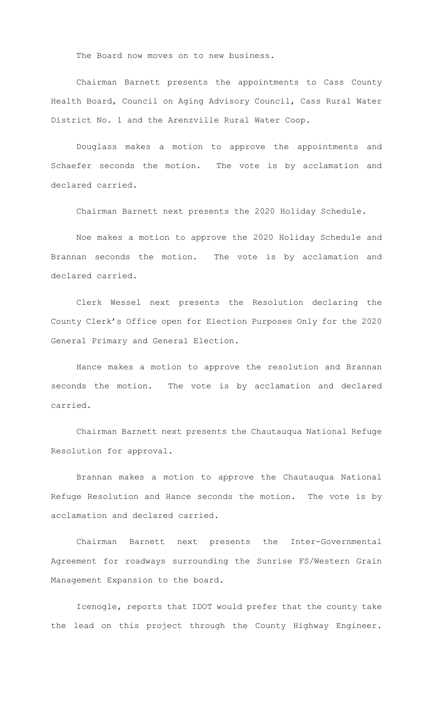The Board now moves on to new business.

Chairman Barnett presents the appointments to Cass County Health Board, Council on Aging Advisory Council, Cass Rural Water District No. 1 and the Arenzville Rural Water Coop.

Douglass makes a motion to approve the appointments and Schaefer seconds the motion. The vote is by acclamation and declared carried.

Chairman Barnett next presents the 2020 Holiday Schedule.

Noe makes a motion to approve the 2020 Holiday Schedule and Brannan seconds the motion. The vote is by acclamation and declared carried.

Clerk Wessel next presents the Resolution declaring the County Clerk's Office open for Election Purposes Only for the 2020 General Primary and General Election.

Hance makes a motion to approve the resolution and Brannan seconds the motion. The vote is by acclamation and declared carried.

Chairman Barnett next presents the Chautauqua National Refuge Resolution for approval.

Brannan makes a motion to approve the Chautauqua National Refuge Resolution and Hance seconds the motion. The vote is by acclamation and declared carried.

Chairman Barnett next presents the Inter-Governmental Agreement for roadways surrounding the Sunrise FS/Western Grain Management Expansion to the board.

Icenogle, reports that IDOT would prefer that the county take the lead on this project through the County Highway Engineer.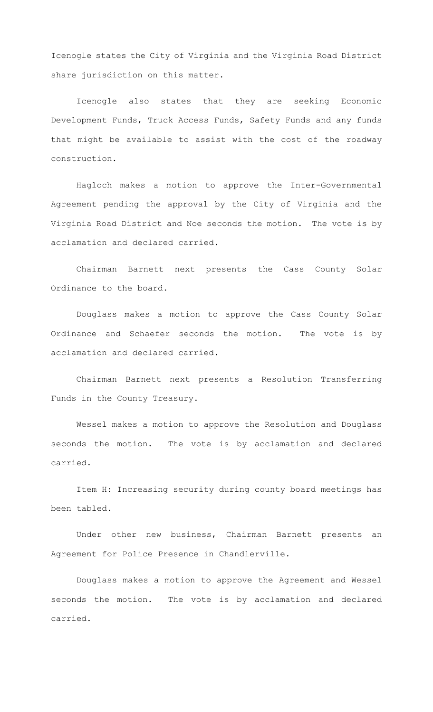Icenogle states the City of Virginia and the Virginia Road District share jurisdiction on this matter.

Icenogle also states that they are seeking Economic Development Funds, Truck Access Funds, Safety Funds and any funds that might be available to assist with the cost of the roadway construction.

Hagloch makes a motion to approve the Inter-Governmental Agreement pending the approval by the City of Virginia and the Virginia Road District and Noe seconds the motion. The vote is by acclamation and declared carried.

Chairman Barnett next presents the Cass County Solar Ordinance to the board.

Douglass makes a motion to approve the Cass County Solar Ordinance and Schaefer seconds the motion. The vote is by acclamation and declared carried.

Chairman Barnett next presents a Resolution Transferring Funds in the County Treasury.

Wessel makes a motion to approve the Resolution and Douglass seconds the motion. The vote is by acclamation and declared carried.

Item H: Increasing security during county board meetings has been tabled.

Under other new business, Chairman Barnett presents an Agreement for Police Presence in Chandlerville.

Douglass makes a motion to approve the Agreement and Wessel seconds the motion. The vote is by acclamation and declared carried.